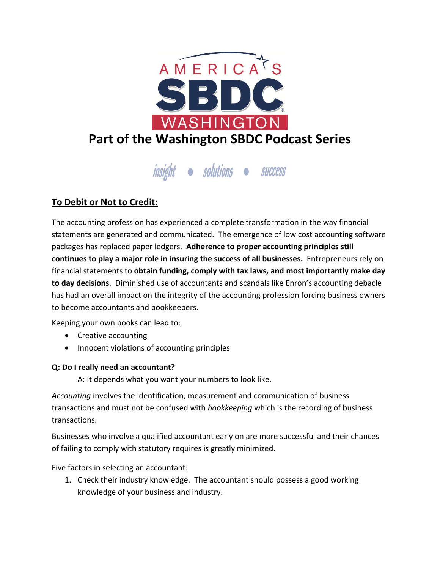

# insight · solutions · success

# **To Debit or Not to Credit:**

The accounting profession has experienced a complete transformation in the way financial statements are generated and communicated. The emergence of low cost accounting software packages has replaced paper ledgers. **Adherence to proper accounting principles still continues to play a major role in insuring the success of all businesses.** Entrepreneurs rely on financial statements to **obtain funding, comply with tax laws, and most importantly make day to day decisions**. Diminished use of accountants and scandals like Enron's accounting debacle has had an overall impact on the integrity of the accounting profession forcing business owners to become accountants and bookkeepers.

## Keeping your own books can lead to:

- Creative accounting
- Innocent violations of accounting principles

#### **Q: Do I really need an accountant?**

A: It depends what you want your numbers to look like.

*Accounting* involves the identification, measurement and communication of business transactions and must not be confused with *bookkeeping* which is the recording of business transactions.

Businesses who involve a qualified accountant early on are more successful and their chances of failing to comply with statutory requires is greatly minimized.

#### Five factors in selecting an accountant:

1. Check their industry knowledge. The accountant should possess a good working knowledge of your business and industry.